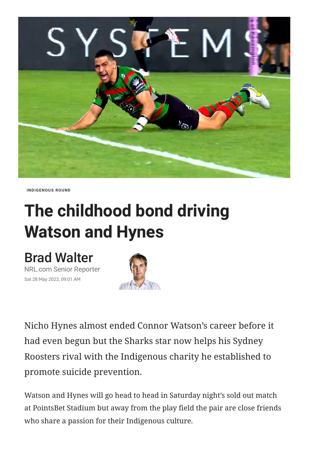

[INDIGENOUS](https://www.nrl.com/news/topic/indigenous-round/) ROUND

## **The childhood bond driving Watson and Hynes**

## Brad [Walter](https://www.nrl.com/news/author/brad-walter/)

NRL.com Senior Reporter Sat 28 May 2022, 09:01 AM



Nicho Hynes almost ended Connor Watson's career before it had even begun but the Sharks star now helps his Sydney Roosters rival with the Indigenous charity he established to promote suicide prevention.

Watson and Hynes will go head to head in Saturday night's sold out match at PointsBet Stadium but away from the play field the pair are close friends who share a passion for their Indigenous culture.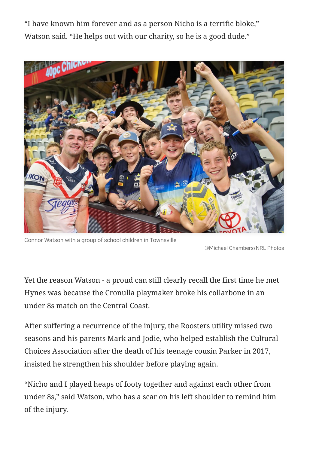"I have known him forever and as a person Nicho is a terrific bloke," Watson said. "He helps out with our charity, so he is a good dude."



Connor Watson with a group of school children in Townsville

©Michael Chambers/NRL Photos

Yet the reason Watson - a proud can still clearly recall the first time he met Hynes was because the Cronulla playmaker broke his collarbone in an under 8s match on the Central Coast.

After suffering a recurrence of the injury, the Roosters utility missed two seasons and his parents Mark and Jodie, who helped establish the Cultural Choices Association after the death of his teenage cousin Parker in 2017, insisted he strengthen his shoulder before playing again.

"Nicho and I played heaps of footy together and against each other from under 8s," said Watson, who has a scar on his left shoulder to remind him of the injury.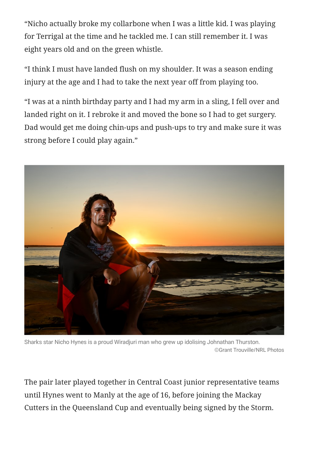"Nicho actually broke my collarbone when I was a little kid. I was playing for Terrigal at the time and he tackled me. I can still remember it. I was eight years old and on the green whistle.

"I think I must have landed flush on my shoulder. It was a season ending injury at the age and I had to take the next year off from playing too.

"I was at a ninth birthday party and I had my arm in a sling, I fell over and landed right on it. I rebroke it and moved the bone so I had to get surgery. Dad would get me doing chin-ups and push-ups to try and make sure it was strong before I could play again."



Sharks star Nicho Hynes is a proud Wiradjuri man who grew up idolising Johnathan Thurston. ©Grant Trouville/NRL Photos

The pair later played together in Central Coast junior representative teams until Hynes went to Manly at the age of 16, before joining the Mackay Cutters in the Queensland Cup and eventually being signed by the Storm.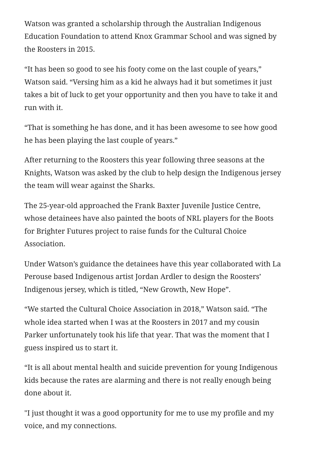Watson was granted a scholarship through the Australian Indigenous Education Foundation to attend Knox Grammar School and was signed by the Roosters in 2015.

"It has been so good to see his footy come on the last couple of years," Watson said. "Versing him as a kid he always had it but sometimes it just takes a bit of luck to get your opportunity and then you have to take it and run with it.

"That is something he has done, and it has been awesome to see how good he has been playing the last couple of years."

After returning to the Roosters this year following three seasons at the Knights, Watson was asked by the club to help design the Indigenous jersey the team will wear against the Sharks.

The 25-year-old approached the Frank Baxter Juvenile Justice Centre, whose detainees have also painted the boots of NRL players for the Boots for Brighter Futures project to raise funds for the Cultural Choice Association.

Under Watson's guidance the detainees have this year collaborated with La Perouse based Indigenous artist Jordan Ardler to design the Roosters' Indigenous jersey, which is titled, "New Growth, New Hope".

"We started the Cultural Choice Association in 2018," Watson said. "The whole idea started when I was at the Roosters in 2017 and my cousin Parker unfortunately took his life that year. That was the moment that I guess inspired us to start it.

"It is all about mental health and suicide prevention for young Indigenous kids because the rates are alarming and there is not really enough being done about it.

"I just thought it was a good opportunity for me to use my profile and my voice, and my connections.